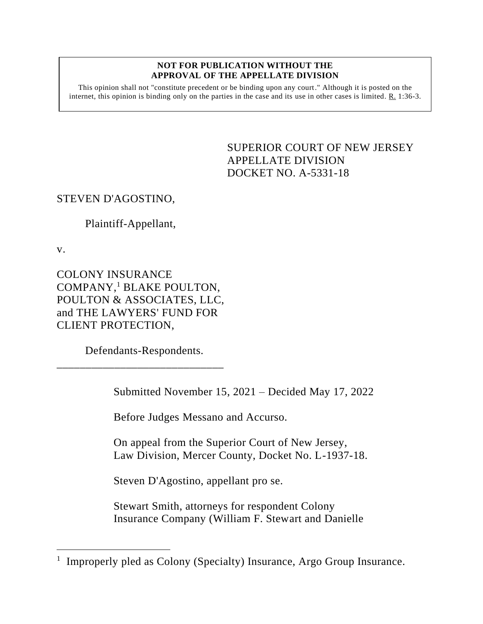## **NOT FOR PUBLICATION WITHOUT THE APPROVAL OF THE APPELLATE DIVISION**

This opinion shall not "constitute precedent or be binding upon any court." Although it is posted on the internet, this opinion is binding only on the parties in the case and its use in other cases is limited.  $R_1$  1:36-3.

> <span id="page-0-0"></span>SUPERIOR COURT OF NEW JERSEY APPELLATE DIVISION DOCKET NO. A-5331-18

## STEVEN D'AGOSTINO,

## Plaintiff-Appellant,

v.

COLONY INSURANCE COMPANY,<sup>1</sup> BLAKE POULTON, POULTON & ASSOCIATES, LLC, and THE LAWYERS' FUND FOR CLIENT PROTECTION,

Defendants-Respondents.

\_\_\_\_\_\_\_\_\_\_\_\_\_\_\_\_\_\_\_\_\_\_\_\_\_\_\_\_\_

Submitted November 15, 2021 – Decided May 17, 2022

Before Judges Messano and Accurso.

On appeal from the Superior Court of New Jersey, Law Division, Mercer County, Docket No. L-1937-18.

Steven D'Agostino, appellant pro se.

Stewart Smith, attorneys for respondent Colony Insurance Company (William F. Stewart and Danielle

<sup>&</sup>lt;sup>1</sup> Improperly pled as Colony (Specialty) Insurance, Argo Group Insurance.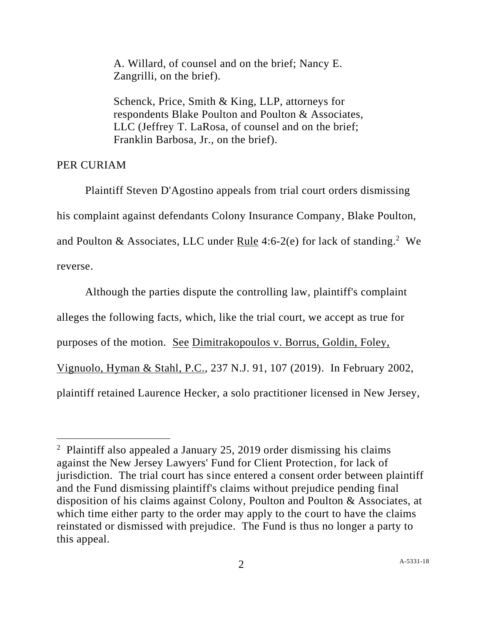A. Willard, of counsel and on the brief; Nancy E. Zangrilli, on the brief).

Schenck, Price, Smith & King, LLP, attorneys for respondents Blake Poulton and Poulton & Associates, LLC (Jeffrey T. LaRosa, of counsel and on the brief; Franklin Barbosa, Jr., on the brief).

## PER CURIAM

Plaintiff Steven D'Agostino appeals from trial court orders dismissing his complaint against defendants Colony Insurance Company, Blake Poulton, and Poulton & Associates, LLC under  $Rule 4:6-2(e)$  for lack of standing.<sup>2</sup> We</u> reverse.

Although the parties dispute the controlling law, plaintiff's complaint alleges the following facts, which, like the trial court, we accept as true for purposes of the motion. See Dimitrakopoulos v. Borrus, Goldin, Foley, Vignuolo, Hyman & Stahl, P.C., 237 N.J. 91, 107 (2019). In February 2002, plaintiff retained Laurence Hecker, a solo practitioner licensed in New Jersey,

<sup>&</sup>lt;sup>2</sup> Plaintiff also appealed a January 25, 2019 order dismissing his claims against the New Jersey Lawyers' Fund for Client Protection, for lack of jurisdiction. The trial court has since entered a consent order between plaintiff and the Fund dismissing plaintiff's claims without prejudice pending final disposition of his claims against Colony, Poulton and Poulton & Associates, at which time either party to the order may apply to the court to have the claims reinstated or dismissed with prejudice. The Fund is thus no longer a party to this appeal.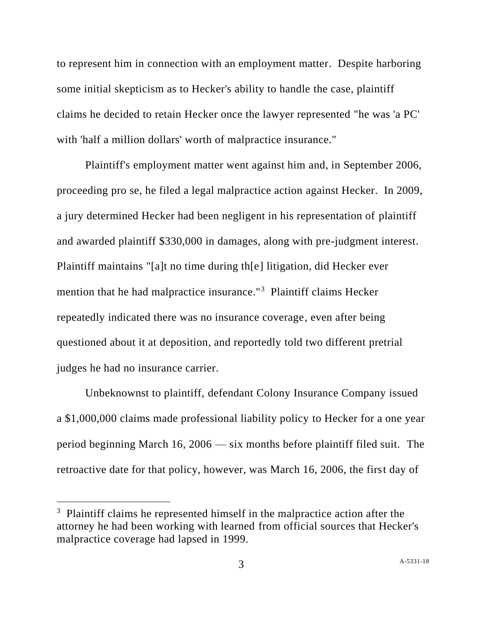to represent him in connection with an employment matter. Despite harboring some initial skepticism as to Hecker's ability to handle the case, plaintiff claims he decided to retain Hecker once the lawyer represented "he was 'a PC' with 'half a million dollars' worth of malpractice insurance."

Plaintiff's employment matter went against him and, in September 2006, proceeding pro se, he filed a legal malpractice action against Hecker. In 2009, a jury determined Hecker had been negligent in his representation of plaintiff and awarded plaintiff \$330,000 in damages, along with pre-judgment interest. Plaintiff maintains "[a]t no time during th[e] litigation, did Hecker ever mention that he had malpractice insurance."<sup>3</sup> Plaintiff claims Hecker repeatedly indicated there was no insurance coverage, even after being questioned about it at deposition, and reportedly told two different pretrial judges he had no insurance carrier.

Unbeknownst to plaintiff, defendant Colony Insurance Company issued a \$1,000,000 claims made professional liability policy to Hecker for a one year period beginning March 16, 2006 — six months before plaintiff filed suit. The retroactive date for that policy, however, was March 16, 2006, the first day of

<sup>&</sup>lt;sup>3</sup> Plaintiff claims he represented himself in the malpractice action after the attorney he had been working with learned from official sources that Hecker's malpractice coverage had lapsed in 1999.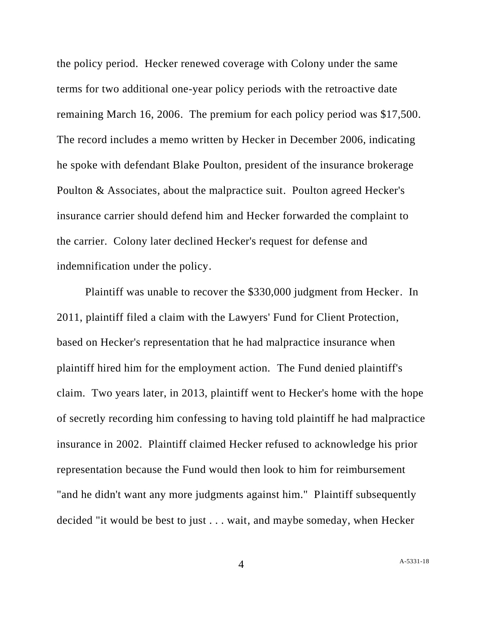the policy period. Hecker renewed coverage with Colony under the same terms for two additional one-year policy periods with the retroactive date remaining March 16, 2006. The premium for each policy period was \$17,500. The record includes a memo written by Hecker in December 2006, indicating he spoke with defendant Blake Poulton, president of the insurance brokerage Poulton & Associates, about the malpractice suit. Poulton agreed Hecker's insurance carrier should defend him and Hecker forwarded the complaint to the carrier. Colony later declined Hecker's request for defense and indemnification under the policy.

Plaintiff was unable to recover the \$330,000 judgment from Hecker. In 2011, plaintiff filed a claim with the Lawyers' Fund for Client Protection, based on Hecker's representation that he had malpractice insurance when plaintiff hired him for the employment action. The Fund denied plaintiff's claim. Two years later, in 2013, plaintiff went to Hecker's home with the hope of secretly recording him confessing to having told plaintiff he had malpractice insurance in 2002. Plaintiff claimed Hecker refused to acknowledge his prior representation because the Fund would then look to him for reimbursement "and he didn't want any more judgments against him." Plaintiff subsequently decided "it would be best to just . . . wait, and maybe someday, when Hecker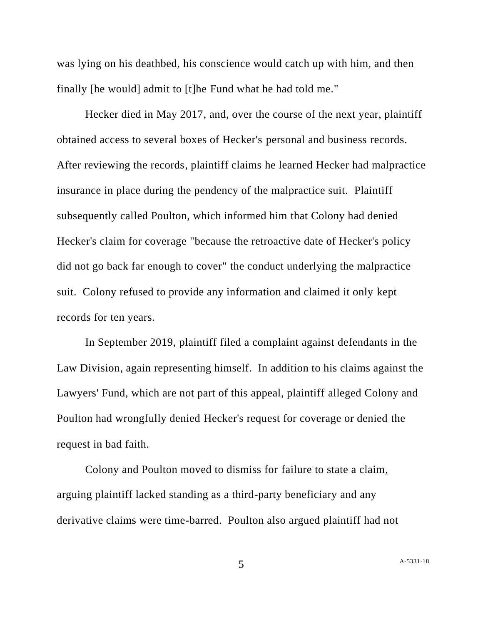was lying on his deathbed, his conscience would catch up with him, and then finally [he would] admit to [t]he Fund what he had told me."

Hecker died in May 2017, and, over the course of the next year, plaintiff obtained access to several boxes of Hecker's personal and business records. After reviewing the records, plaintiff claims he learned Hecker had malpractice insurance in place during the pendency of the malpractice suit. Plaintiff subsequently called Poulton, which informed him that Colony had denied Hecker's claim for coverage "because the retroactive date of Hecker's policy did not go back far enough to cover" the conduct underlying the malpractice suit. Colony refused to provide any information and claimed it only kept records for ten years.

In September 2019, plaintiff filed a complaint against defendants in the Law Division, again representing himself. In addition to his claims against the Lawyers' Fund, which are not part of this appeal, plaintiff alleged Colony and Poulton had wrongfully denied Hecker's request for coverage or denied the request in bad faith.

Colony and Poulton moved to dismiss for failure to state a claim, arguing plaintiff lacked standing as a third-party beneficiary and any derivative claims were time-barred. Poulton also argued plaintiff had not

5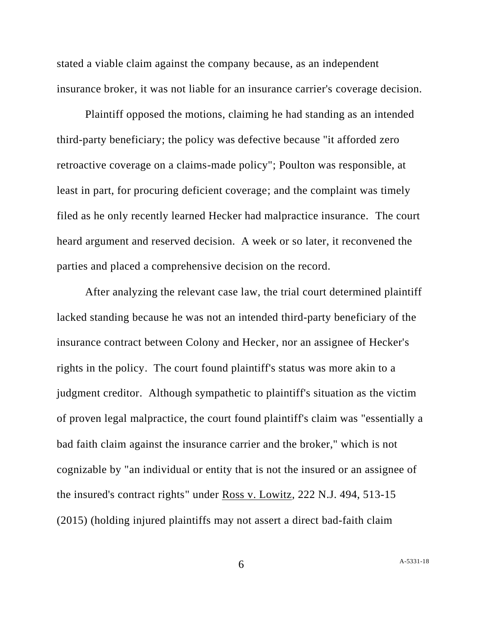stated a viable claim against the company because, as an independent insurance broker, it was not liable for an insurance carrier's coverage decision.

Plaintiff opposed the motions, claiming he had standing as an intended third-party beneficiary; the policy was defective because "it afforded zero retroactive coverage on a claims-made policy"; Poulton was responsible, at least in part, for procuring deficient coverage; and the complaint was timely filed as he only recently learned Hecker had malpractice insurance. The court heard argument and reserved decision. A week or so later, it reconvened the parties and placed a comprehensive decision on the record.

After analyzing the relevant case law, the trial court determined plaintiff lacked standing because he was not an intended third-party beneficiary of the insurance contract between Colony and Hecker, nor an assignee of Hecker's rights in the policy. The court found plaintiff's status was more akin to a judgment creditor. Although sympathetic to plaintiff's situation as the victim of proven legal malpractice, the court found plaintiff's claim was "essentially a bad faith claim against the insurance carrier and the broker," which is not cognizable by "an individual or entity that is not the insured or an assignee of the insured's contract rights" under Ross v. Lowitz, 222 N.J. 494, 513-15 (2015) (holding injured plaintiffs may not assert a direct bad-faith claim

6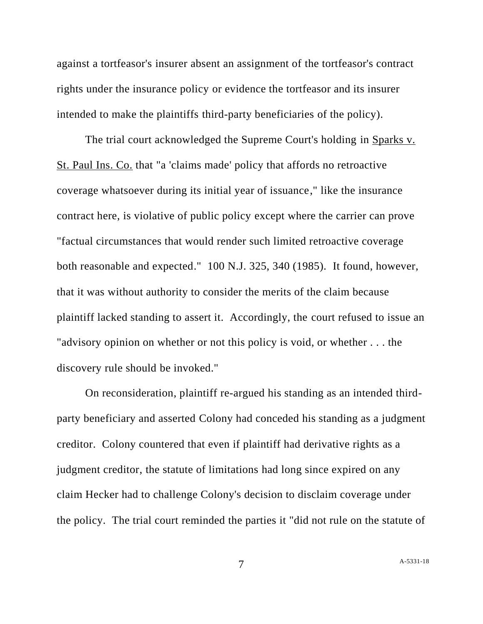against a tortfeasor's insurer absent an assignment of the tortfeasor's contract rights under the insurance policy or evidence the tortfeasor and its insurer intended to make the plaintiffs third-party beneficiaries of the policy).

The trial court acknowledged the Supreme Court's holding in Sparks v. St. Paul Ins. Co. that "a 'claims made' policy that affords no retroactive coverage whatsoever during its initial year of issuance," like the insurance contract here, is violative of public policy except where the carrier can prove "factual circumstances that would render such limited retroactive coverage both reasonable and expected." 100 N.J. 325, 340 (1985). It found, however, that it was without authority to consider the merits of the claim because plaintiff lacked standing to assert it. Accordingly, the court refused to issue an "advisory opinion on whether or not this policy is void, or whether . . . the discovery rule should be invoked."

On reconsideration, plaintiff re-argued his standing as an intended thirdparty beneficiary and asserted Colony had conceded his standing as a judgment creditor. Colony countered that even if plaintiff had derivative rights as a judgment creditor, the statute of limitations had long since expired on any claim Hecker had to challenge Colony's decision to disclaim coverage under the policy. The trial court reminded the parties it "did not rule on the statute of

7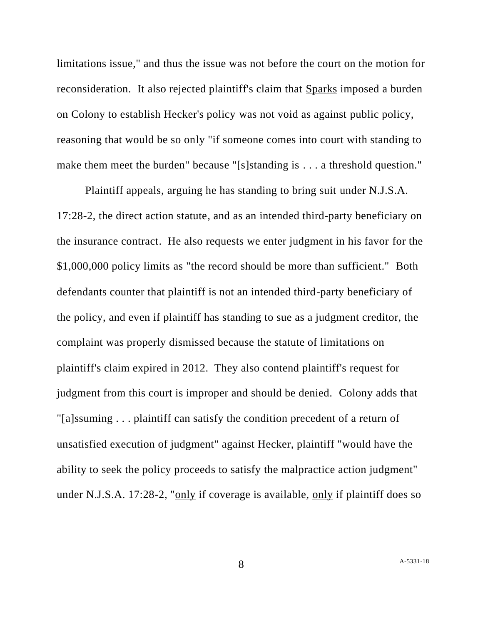limitations issue," and thus the issue was not before the court on the motion for reconsideration. It also rejected plaintiff's claim that Sparks imposed a burden on Colony to establish Hecker's policy was not void as against public policy, reasoning that would be so only "if someone comes into court with standing to make them meet the burden" because "[s]standing is . . . a threshold question."

Plaintiff appeals, arguing he has standing to bring suit under N.J.S.A. 17:28-2, the direct action statute, and as an intended third-party beneficiary on the insurance contract. He also requests we enter judgment in his favor for the \$1,000,000 policy limits as "the record should be more than sufficient." Both defendants counter that plaintiff is not an intended third-party beneficiary of the policy, and even if plaintiff has standing to sue as a judgment creditor, the complaint was properly dismissed because the statute of limitations on plaintiff's claim expired in 2012. They also contend plaintiff's request for judgment from this court is improper and should be denied. Colony adds that "[a]ssuming . . . plaintiff can satisfy the condition precedent of a return of unsatisfied execution of judgment" against Hecker, plaintiff "would have the ability to seek the policy proceeds to satisfy the malpractice action judgment" under N.J.S.A. 17:28-2, "only if coverage is available, only if plaintiff does so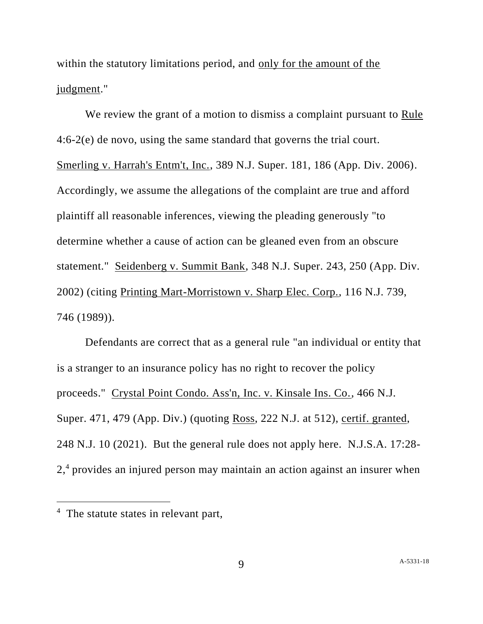within the statutory limitations period, and only for the amount of the judgment."

We review the grant of a motion to dismiss a complaint pursuant to Rule 4:6-2(e) de novo, using the same standard that governs the trial court. Smerling v. Harrah's Entm't, Inc., 389 N.J. Super. 181, 186 (App. Div. 2006). Accordingly, we assume the allegations of the complaint are true and afford plaintiff all reasonable inferences, viewing the pleading generously "to determine whether a cause of action can be gleaned even from an obscure statement." Seidenberg v. Summit Bank, 348 N.J. Super. 243, 250 (App. Div. 2002) (citing Printing Mart-Morristown v. Sharp Elec. Corp., 116 N.J. 739, 746 (1989)).

Defendants are correct that as a general rule "an individual or entity that is a stranger to an insurance policy has no right to recover the policy proceeds." Crystal Point Condo. Ass'n, Inc. v. Kinsale Ins. Co., 466 N.J. Super. 471, 479 (App. Div.) (quoting Ross, 222 N.J. at 512), certif. granted, 248 N.J. 10 (2021). But the general rule does not apply here. N.J.S.A. 17:28- 2,<sup>4</sup> provides an injured person may maintain an action against an insurer when

<sup>&</sup>lt;sup>4</sup> The statute states in relevant part,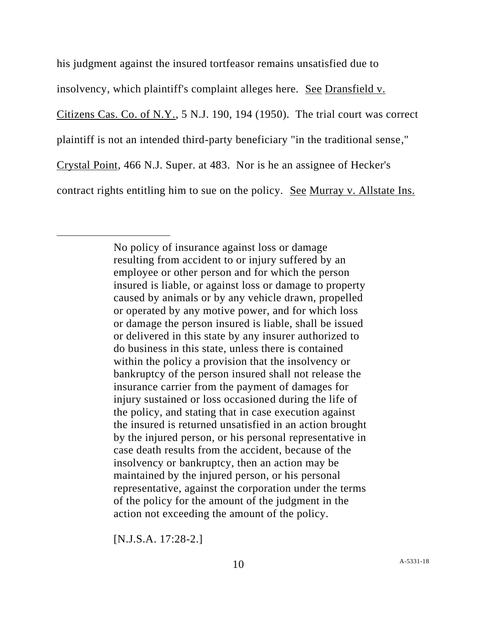his judgment against the insured tortfeasor remains unsatisfied due to insolvency, which plaintiff's complaint alleges here. See Dransfield v. Citizens Cas. Co. of N.Y., 5 N.J. 190, 194 (1950). The trial court was correct plaintiff is not an intended third-party beneficiary "in the traditional sense," Crystal Point, 466 N.J. Super. at 483. Nor is he an assignee of Hecker's contract rights entitling him to sue on the policy. See Murray v. Allstate Ins.

> No policy of insurance against loss or damage resulting from accident to or injury suffered by an employee or other person and for which the person insured is liable, or against loss or damage to property caused by animals or by any vehicle drawn, propelled or operated by any motive power, and for which loss or damage the person insured is liable, shall be issued or delivered in this state by any insurer authorized to do business in this state, unless there is contained within the policy a provision that the insolvency or bankruptcy of the person insured shall not release the insurance carrier from the payment of damages for injury sustained or loss occasioned during the life of the policy, and stating that in case execution against the insured is returned unsatisfied in an action brought by the injured person, or his personal representative in case death results from the accident, because of the insolvency or bankruptcy, then an action may be maintained by the injured person, or his personal representative, against the corporation under the terms of the policy for the amount of the judgment in the action not exceeding the amount of the policy.

[N.J.S.A. 17:28-2.]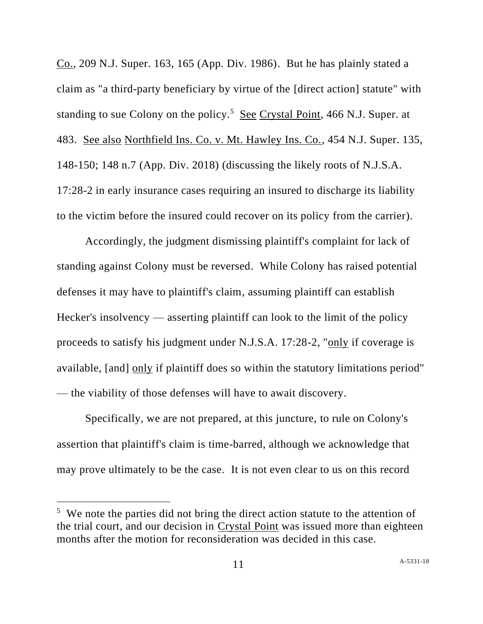Co., 209 N.J. Super. 163, 165 (App. Div. 1986). But he has plainly stated a claim as "a third-party beneficiary by virtue of the [direct action] statute" with standing to sue Colony on the policy.<sup>5</sup> See Crystal Point, 466 N.J. Super. at 483. See also Northfield Ins. Co. v. Mt. Hawley Ins. Co., 454 N.J. Super. 135, 148-150; 148 n.7 (App. Div. 2018) (discussing the likely roots of N.J.S.A. 17:28-2 in early insurance cases requiring an insured to discharge its liability to the victim before the insured could recover on its policy from the carrier).

Accordingly, the judgment dismissing plaintiff's complaint for lack of standing against Colony must be reversed. While Colony has raised potential defenses it may have to plaintiff's claim, assuming plaintiff can establish Hecker's insolvency — asserting plaintiff can look to the limit of the policy proceeds to satisfy his judgment under N.J.S.A. 17:28-2, "only if coverage is available, [and] only if plaintiff does so within the statutory limitations period" — the viability of those defenses will have to await discovery.

Specifically, we are not prepared, at this juncture, to rule on Colony's assertion that plaintiff's claim is time-barred, although we acknowledge that may prove ultimately to be the case. It is not even clear to us on this record

<sup>&</sup>lt;sup>5</sup> We note the parties did not bring the direct action statute to the attention of the trial court, and our decision in Crystal Point was issued more than eighteen months after the motion for reconsideration was decided in this case.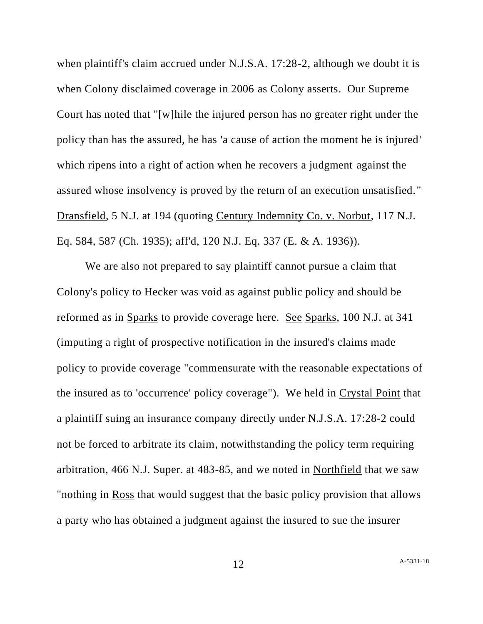when plaintiff's claim accrued under N.J.S.A. 17:28-2, although we doubt it is when Colony disclaimed coverage in 2006 as Colony asserts. Our Supreme Court has noted that "[w]hile the injured person has no greater right under the policy than has the assured, he has 'a cause of action the moment he is injured' which ripens into a right of action when he recovers a judgment against the assured whose insolvency is proved by the return of an execution unsatisfied. " Dransfield, 5 N.J. at 194 (quoting Century Indemnity Co. v. Norbut, 117 N.J. Eq. 584, 587 (Ch. 1935); aff'd, 120 N.J. Eq. 337 (E. & A. 1936)).

We are also not prepared to say plaintiff cannot pursue a claim that Colony's policy to Hecker was void as against public policy and should be reformed as in Sparks to provide coverage here. See Sparks, 100 N.J. at 341 (imputing a right of prospective notification in the insured's claims made policy to provide coverage "commensurate with the reasonable expectations of the insured as to 'occurrence' policy coverage"). We held in Crystal Point that a plaintiff suing an insurance company directly under N.J.S.A. 17:28-2 could not be forced to arbitrate its claim, notwithstanding the policy term requiring arbitration, 466 N.J. Super. at 483-85, and we noted in Northfield that we saw "nothing in Ross that would suggest that the basic policy provision that allows a party who has obtained a judgment against the insured to sue the insurer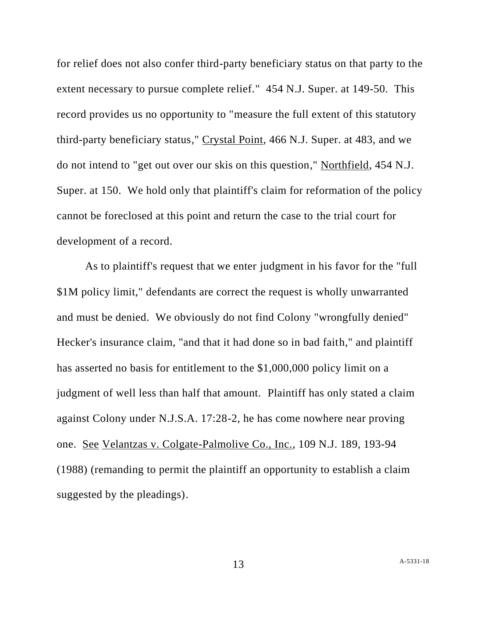for relief does not also confer third-party beneficiary status on that party to the extent necessary to pursue complete relief." 454 N.J. Super. at 149-50. This record provides us no opportunity to "measure the full extent of this statutory third-party beneficiary status," Crystal Point, 466 N.J. Super. at 483, and we do not intend to "get out over our skis on this question," Northfield, 454 N.J. Super. at 150. We hold only that plaintiff's claim for reformation of the policy cannot be foreclosed at this point and return the case to the trial court for development of a record.

As to plaintiff's request that we enter judgment in his favor for the "full \$1M policy limit," defendants are correct the request is wholly unwarranted and must be denied. We obviously do not find Colony "wrongfully denied" Hecker's insurance claim, "and that it had done so in bad faith," and plaintiff has asserted no basis for entitlement to the \$1,000,000 policy limit on a judgment of well less than half that amount. Plaintiff has only stated a claim against Colony under N.J.S.A. 17:28-2, he has come nowhere near proving one. See Velantzas v. Colgate-Palmolive Co., Inc., 109 N.J. 189, 193-94 (1988) (remanding to permit the plaintiff an opportunity to establish a claim suggested by the pleadings).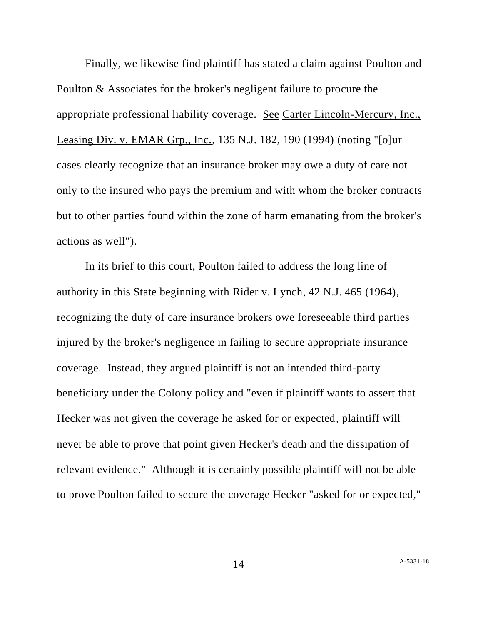Finally, we likewise find plaintiff has stated a claim against Poulton and Poulton & Associates for the broker's negligent failure to procure the appropriate professional liability coverage. See Carter Lincoln-Mercury, Inc., Leasing Div. v. EMAR Grp., Inc., 135 N.J. 182, 190 (1994) (noting "[o]ur cases clearly recognize that an insurance broker may owe a duty of care not only to the insured who pays the premium and with whom the broker contracts but to other parties found within the zone of harm emanating from the broker's actions as well").

In its brief to this court, Poulton failed to address the long line of authority in this State beginning with Rider v. Lynch, 42 N.J. 465 (1964), recognizing the duty of care insurance brokers owe foreseeable third parties injured by the broker's negligence in failing to secure appropriate insurance coverage. Instead, they argued plaintiff is not an intended third-party beneficiary under the Colony policy and "even if plaintiff wants to assert that Hecker was not given the coverage he asked for or expected, plaintiff will never be able to prove that point given Hecker's death and the dissipation of relevant evidence." Although it is certainly possible plaintiff will not be able to prove Poulton failed to secure the coverage Hecker "asked for or expected,"